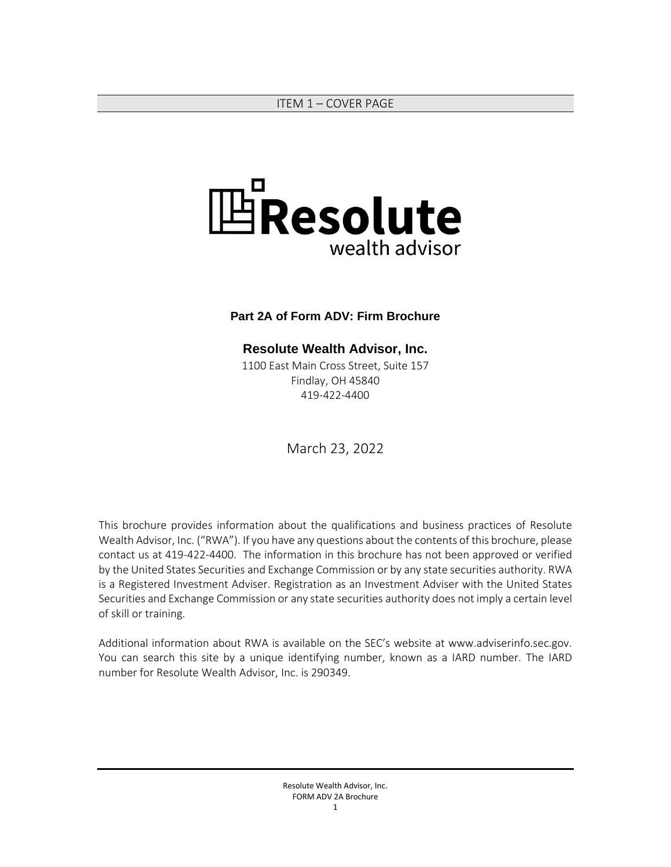<span id="page-0-0"></span>

#### **Part 2A of Form ADV: Firm Brochure**

### **Resolute Wealth Advisor, Inc.**

1100 East Main Cross Street, Suite 157 Findlay, OH 45840 419-422-4400

March 23, 2022

This brochure provides information about the qualifications and business practices of Resolute Wealth Advisor, Inc. ("RWA"). If you have any questions about the contents of this brochure, please contact us at 419-422-4400. The information in this brochure has not been approved or verified by the United States Securities and Exchange Commission or by any state securities authority. RWA is a Registered Investment Adviser. Registration as an Investment Adviser with the United States Securities and Exchange Commission or any state securities authority does not imply a certain level of skill or training.

Additional information about RWA is available on the SEC's website at www.adviserinfo.sec.gov. You can search this site by a unique identifying number, known as a IARD number. The IARD number for Resolute Wealth Advisor, Inc. is 290349.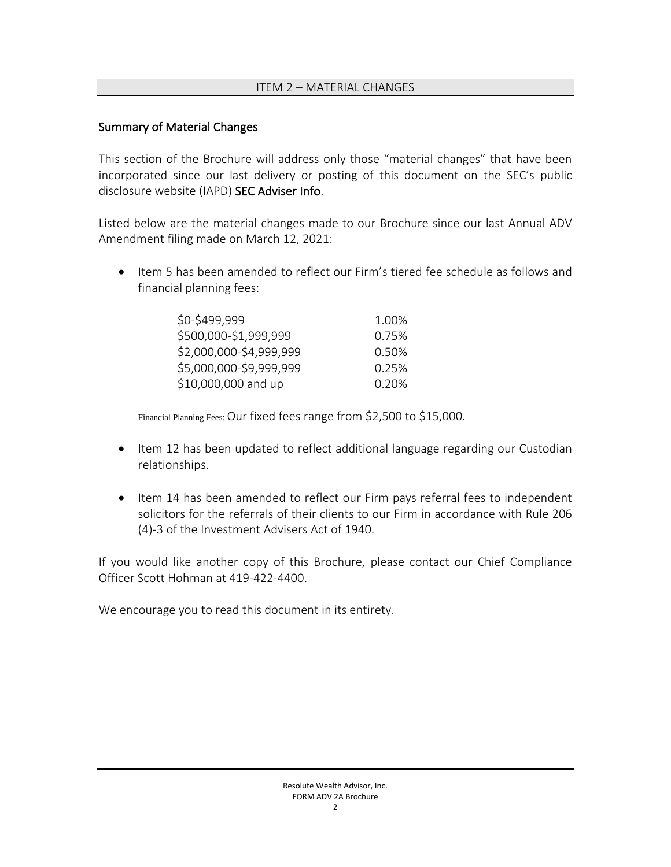### ITEM 2 – MATERIAL CHANGES

### <span id="page-1-0"></span>Summary of Material Changes

This section of the Brochure will address only those "material changes" that have been incorporated since our last delivery or posting of this document on the SEC's public disclosure website (IAPD) [SEC Adviser Info.](http://www.adviserinfo.sec.gov/)

Listed below are the material changes made to our Brochure since our last Annual ADV Amendment filing made on March 12, 2021:

• Item 5 has been amended to reflect our Firm's tiered fee schedule as follows and financial planning fees:

| \$0-\$499,999           | 1.00% |
|-------------------------|-------|
| \$500,000-\$1,999,999   | 0.75% |
| \$2,000,000-\$4,999,999 | 0.50% |
| \$5,000,000-\$9,999,999 | 0.25% |
| \$10,000,000 and up     | 0.20% |

Financial Planning Fees: Our fixed fees range from \$2,500 to \$15,000.

- Item 12 has been updated to reflect additional language regarding our Custodian relationships.
- Item 14 has been amended to reflect our Firm pays referral fees to independent solicitors for the referrals of their clients to our Firm in accordance with Rule 206 (4)-3 of the Investment Advisers Act of 1940.

If you would like another copy of this Brochure, please contact our Chief Compliance Officer Scott Hohman at 419-422-4400.

We encourage you to read this document in its entirety.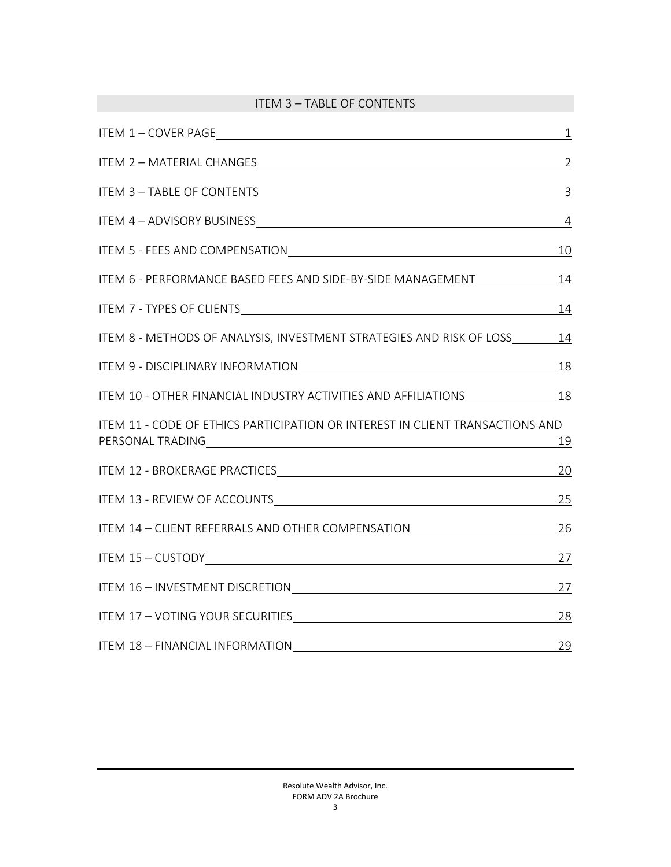<span id="page-2-0"></span>

| ITEM 3 - TABLE OF CONTENTS                                                                                                                                                                                                                                                                                      |                |
|-----------------------------------------------------------------------------------------------------------------------------------------------------------------------------------------------------------------------------------------------------------------------------------------------------------------|----------------|
|                                                                                                                                                                                                                                                                                                                 | $\perp$        |
| ITEM 2 - MATERIAL CHANGES CONTRACTED AND RESERVE THE CONTRACT OF THE CONTRACT OF THE CONTRACT OF THE CONTRACT OF THE CONTRACT OF THE CONTRACT OF THE CONTRACT OF THE CONTRACT OF THE CONTRACT OF THE CONTRACT OF THE CONTRACT                                                                                   | $\overline{2}$ |
|                                                                                                                                                                                                                                                                                                                 |                |
|                                                                                                                                                                                                                                                                                                                 | $\overline{4}$ |
| ITEM 5 - FEES AND COMPENSATIONNALLY CONTROLLER THE CONTROL COMPENSATION                                                                                                                                                                                                                                         | 10             |
| ITEM 6 - PERFORMANCE BASED FEES AND SIDE-BY-SIDE MANAGEMENT_____________________                                                                                                                                                                                                                                | <u>14</u>      |
| ITEM 7 - TYPES OF CLIENTS <b>SERVICES CONTRACTES CONTRACTES CONTRACTES CONTRACTES CONTRACTES CONTRACTES CONTRACTES CONTRACTES CONTRACTES CONTRACTES CONTRACTES CONTRACTES CONTRACTES CONTRACTES CO</b>                                                                                                          | 14             |
| ITEM 8 - METHODS OF ANALYSIS, INVESTMENT STRATEGIES AND RISK OF LOSS                                                                                                                                                                                                                                            | 14             |
| ITEM 9 - DISCIPLINARY INFORMATIONNALLY AND ANNOUNCEMENT AND ANNOUNCEMENT OF THE STATE OF THE STATE OF THE STATE OF THE STATE OF THE STATE OF THE STATE OF THE STATE OF THE STATE OF THE STATE OF THE STATE OF THE STATE OF THE                                                                                  | 18             |
| ITEM 10 - OTHER FINANCIAL INDUSTRY ACTIVITIES AND AFFILIATIONS 18                                                                                                                                                                                                                                               |                |
| ITEM 11 - CODE OF ETHICS PARTICIPATION OR INTEREST IN CLIENT TRANSACTIONS AND<br>PERSONAL TRADINGUNDER AND THE CONTROL OF THE CONTROL OF THE CONTROL OF THE CONTROL OF THE CONTROL OF THE CONTROL OF THE CONTROL OF THE CONTROL OF THE CONTROL OF THE CONTROL OF THE CONTROL OF THE CONTROL OF THE CONTROL OF T | 19             |
| ITEM 12 - BROKERAGE PRACTICES METAL CONTROL AND THE MAGNIFICATION OF THE MAGNIFICATION OF THE MAGNIFICATION OF                                                                                                                                                                                                  | 20             |
|                                                                                                                                                                                                                                                                                                                 | 25             |
| ITEM 14 - CLIENT REFERRALS AND OTHER COMPENSATION                                                                                                                                                                                                                                                               | 26             |
|                                                                                                                                                                                                                                                                                                                 | <u>27</u>      |
|                                                                                                                                                                                                                                                                                                                 | 27             |
|                                                                                                                                                                                                                                                                                                                 | 28             |
| ITEM 18 - FINANCIAL INFORMATION                                                                                                                                                                                                                                                                                 | 29             |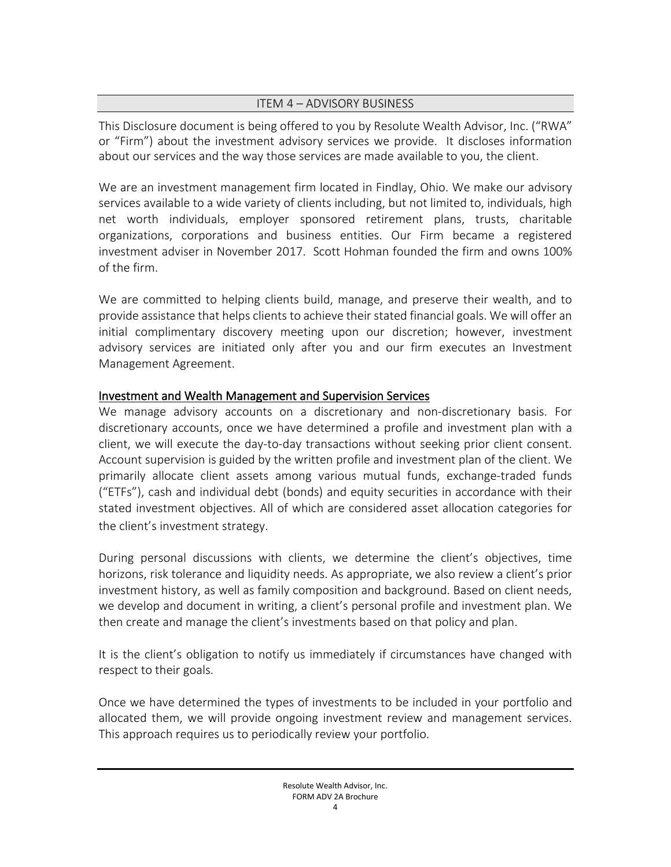### ITEM 4 – ADVISORY BUSINESS

<span id="page-3-0"></span>This Disclosure document is being offered to you by Resolute Wealth Advisor, Inc. ("RWA" or "Firm") about the investment advisory services we provide. It discloses information about our services and the way those services are made available to you, the client.

We are an investment management firm located in Findlay, Ohio. We make our advisory services available to a wide variety of clients including, but not limited to, individuals, high net worth individuals, employer sponsored retirement plans, trusts, charitable organizations, corporations and business entities. Our Firm became a registered investment adviser in November 2017. Scott Hohman founded the firm and owns 100% of the firm.

We are committed to helping clients build, manage, and preserve their wealth, and to provide assistance that helps clients to achieve their stated financial goals. We will offer an initial complimentary discovery meeting upon our discretion; however, investment advisory services are initiated only after you and our firm executes an Investment Management Agreement.

## Investment and Wealth Management and Supervision Services

We manage advisory accounts on a discretionary and non-discretionary basis. For discretionary accounts, once we have determined a profile and investment plan with a client, we will execute the day-to-day transactions without seeking prior client consent. Account supervision is guided by the written profile and investment plan of the client. We primarily allocate client assets among various mutual funds, exchange-traded funds ("ETFs"), cash and individual debt (bonds) and equity securities in accordance with their stated investment objectives. All of which are considered asset allocation categories for the client's investment strategy.

During personal discussions with clients, we determine the client's objectives, time horizons, risk tolerance and liquidity needs. As appropriate, we also review a client's prior investment history, as well as family composition and background. Based on client needs, we develop and document in writing, a client's personal profile and investment plan. We then create and manage the client's investments based on that policy and plan.

It is the client's obligation to notify us immediately if circumstances have changed with respect to their goals.

Once we have determined the types of investments to be included in your portfolio and allocated them, we will provide ongoing investment review and management services. This approach requires us to periodically review your portfolio.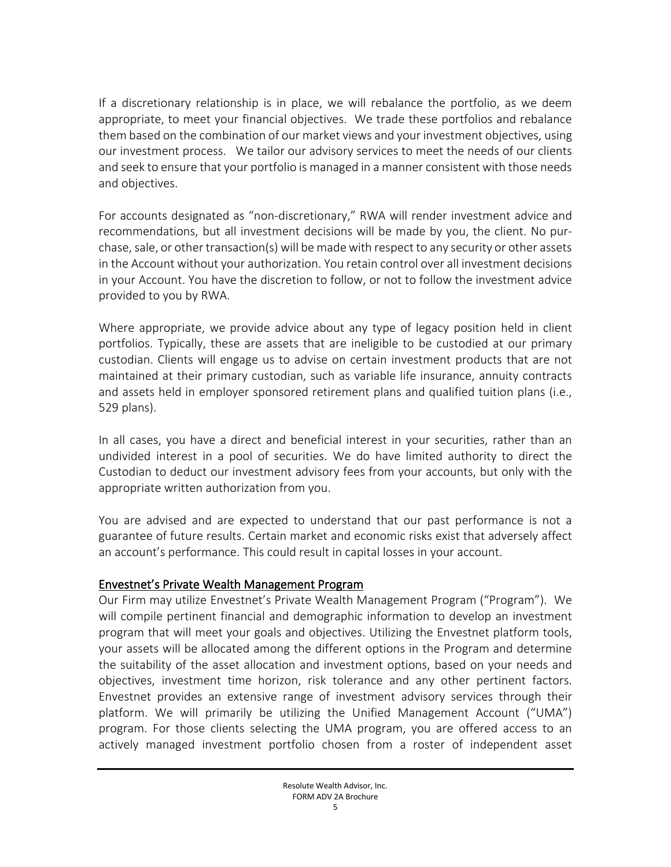If a discretionary relationship is in place, we will rebalance the portfolio, as we deem appropriate, to meet your financial objectives. We trade these portfolios and rebalance them based on the combination of our market views and your investment objectives, using our investment process. We tailor our advisory services to meet the needs of our clients and seek to ensure that your portfolio is managed in a manner consistent with those needs and objectives.

For accounts designated as "non-discretionary," RWA will render investment advice and recommendations, but all investment decisions will be made by you, the client. No purchase, sale, or other transaction(s) will be made with respect to any security or other assets in the Account without your authorization. You retain control over all investment decisions in your Account. You have the discretion to follow, or not to follow the investment advice provided to you by RWA.

Where appropriate, we provide advice about any type of legacy position held in client portfolios. Typically, these are assets that are ineligible to be custodied at our primary custodian. Clients will engage us to advise on certain investment products that are not maintained at their primary custodian, such as variable life insurance, annuity contracts and assets held in employer sponsored retirement plans and qualified tuition plans (i.e., 529 plans).

In all cases, you have a direct and beneficial interest in your securities, rather than an undivided interest in a pool of securities. We do have limited authority to direct the Custodian to deduct our investment advisory fees from your accounts, but only with the appropriate written authorization from you.

You are advised and are expected to understand that our past performance is not a guarantee of future results. Certain market and economic risks exist that adversely affect an account's performance. This could result in capital losses in your account.

### Envestnet's Private Wealth Management Program

Our Firm may utilize Envestnet's Private Wealth Management Program ("Program"). We will compile pertinent financial and demographic information to develop an investment program that will meet your goals and objectives. Utilizing the Envestnet platform tools, your assets will be allocated among the different options in the Program and determine the suitability of the asset allocation and investment options, based on your needs and objectives, investment time horizon, risk tolerance and any other pertinent factors. Envestnet provides an extensive range of investment advisory services through their platform. We will primarily be utilizing the Unified Management Account ("UMA") program. For those clients selecting the UMA program, you are offered access to an actively managed investment portfolio chosen from a roster of independent asset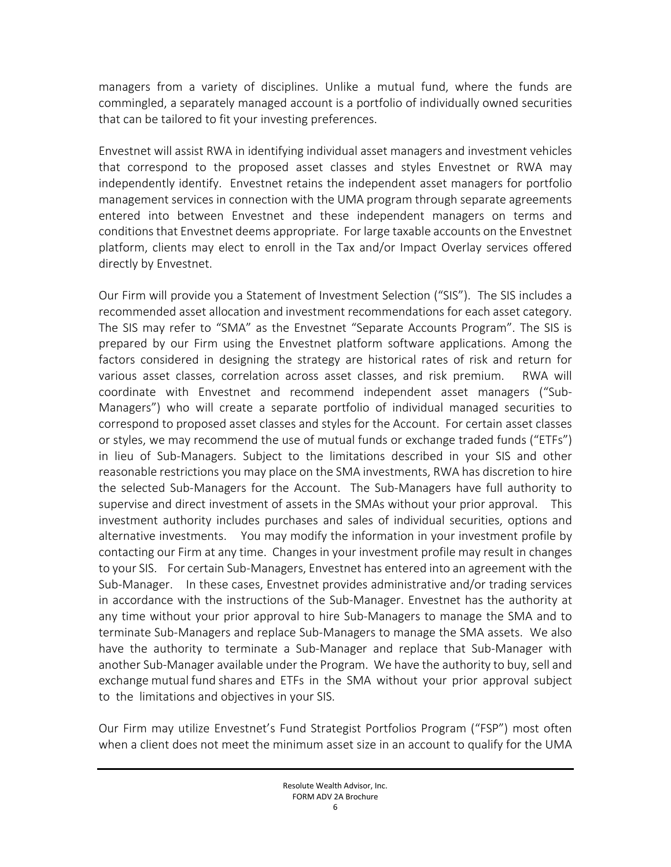managers from a variety of disciplines. Unlike a mutual fund, where the funds are commingled, a separately managed account is a portfolio of individually owned securities that can be tailored to fit your investing preferences.

Envestnet will assist RWA in identifying individual asset managers and investment vehicles that correspond to the proposed asset classes and styles Envestnet or RWA may independently identify. Envestnet retains the independent asset managers for portfolio management services in connection with the UMA program through separate agreements entered into between Envestnet and these independent managers on terms and conditions that Envestnet deems appropriate. For large taxable accounts on the Envestnet platform, clients may elect to enroll in the Tax and/or Impact Overlay services offered directly by Envestnet.

Our Firm will provide you a Statement of Investment Selection ("SIS"). The SIS includes a recommended asset allocation and investment recommendations for each asset category. The SIS may refer to "SMA" as the Envestnet "Separate Accounts Program". The SIS is prepared by our Firm using the Envestnet platform software applications. Among the factors considered in designing the strategy are historical rates of risk and return for various asset classes, correlation across asset classes, and risk premium. RWA will coordinate with Envestnet and recommend independent asset managers ("Sub-Managers") who will create a separate portfolio of individual managed securities to correspond to proposed asset classes and styles for the Account. For certain asset classes or styles, we may recommend the use of mutual funds or exchange traded funds ("ETFs") in lieu of Sub-Managers. Subject to the limitations described in your SIS and other reasonable restrictions you may place on the SMA investments, RWA has discretion to hire the selected Sub-Managers for the Account. The Sub-Managers have full authority to supervise and direct investment of assets in the SMAs without your prior approval. This investment authority includes purchases and sales of individual securities, options and alternative investments. You may modify the information in your investment profile by contacting our Firm at any time. Changes in your investment profile may result in changes to your SIS. For certain Sub-Managers, Envestnet has entered into an agreement with the Sub-Manager. In these cases, Envestnet provides administrative and/or trading services in accordance with the instructions of the Sub-Manager. Envestnet has the authority at any time without your prior approval to hire Sub-Managers to manage the SMA and to terminate Sub-Managers and replace Sub-Managers to manage the SMA assets. We also have the authority to terminate a Sub-Manager and replace that Sub-Manager with another Sub-Manager available under the Program. We have the authority to buy, sell and exchange mutual fund shares and ETFs in the SMA without your prior approval subject to the limitations and objectives in your SIS.

Our Firm may utilize Envestnet's Fund Strategist Portfolios Program ("FSP") most often when a client does not meet the minimum asset size in an account to qualify for the UMA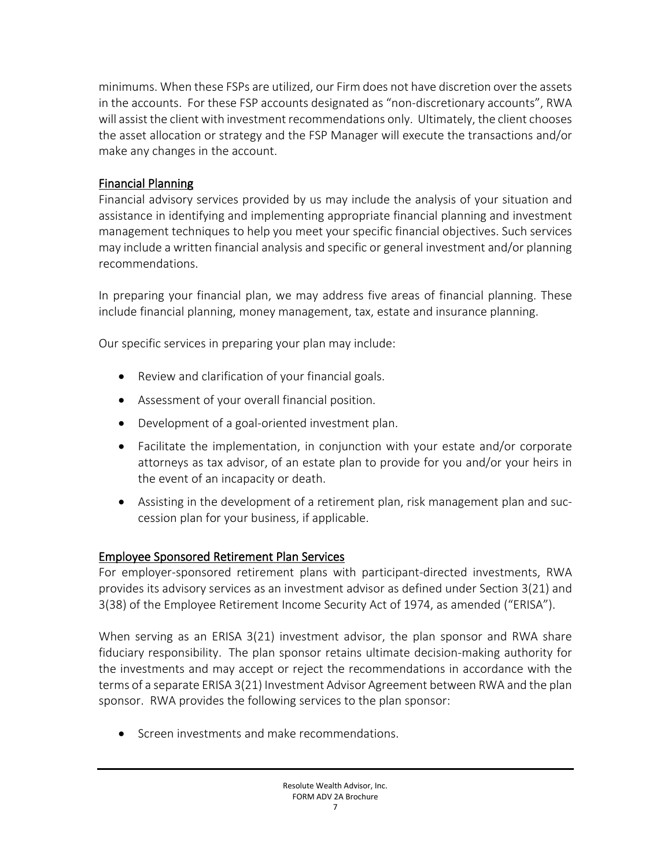minimums. When these FSPs are utilized, our Firm does not have discretion over the assets in the accounts. For these FSP accounts designated as "non-discretionary accounts", RWA will assist the client with investment recommendations only. Ultimately, the client chooses the asset allocation or strategy and the FSP Manager will execute the transactions and/or make any changes in the account.

## Financial Planning

Financial advisory services provided by us may include the analysis of your situation and assistance in identifying and implementing appropriate financial planning and investment management techniques to help you meet your specific financial objectives. Such services may include a written financial analysis and specific or general investment and/or planning recommendations.

In preparing your financial plan, we may address five areas of financial planning. These include financial planning, money management, tax, estate and insurance planning.

Our specific services in preparing your plan may include:

- Review and clarification of your financial goals.
- Assessment of your overall financial position.
- Development of a goal-oriented investment plan.
- Facilitate the implementation, in conjunction with your estate and/or corporate attorneys as tax advisor, of an estate plan to provide for you and/or your heirs in the event of an incapacity or death.
- Assisting in the development of a retirement plan, risk management plan and succession plan for your business, if applicable.

# Employee Sponsored Retirement Plan Services

For employer-sponsored retirement plans with participant-directed investments, RWA provides its advisory services as an investment advisor as defined under Section 3(21) and 3(38) of the Employee Retirement Income Security Act of 1974, as amended ("ERISA").

When serving as an ERISA 3(21) investment advisor, the plan sponsor and RWA share fiduciary responsibility. The plan sponsor retains ultimate decision-making authority for the investments and may accept or reject the recommendations in accordance with the terms of a separate ERISA 3(21) Investment Advisor Agreement between RWA and the plan sponsor. RWA provides the following services to the plan sponsor:

• Screen investments and make recommendations.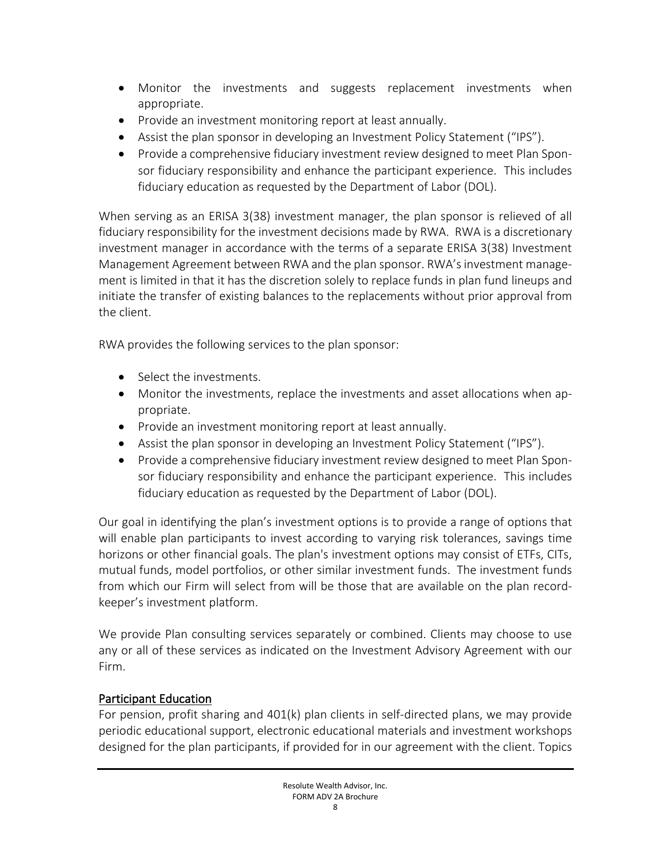- Monitor the investments and suggests replacement investments when appropriate.
- Provide an investment monitoring report at least annually.
- Assist the plan sponsor in developing an Investment Policy Statement ("IPS").
- Provide a comprehensive fiduciary investment review designed to meet Plan Sponsor fiduciary responsibility and enhance the participant experience. This includes fiduciary education as requested by the Department of Labor (DOL).

When serving as an ERISA 3(38) investment manager, the plan sponsor is relieved of all fiduciary responsibility for the investment decisions made by RWA. RWA is a discretionary investment manager in accordance with the terms of a separate ERISA 3(38) Investment Management Agreement between RWA and the plan sponsor. RWA'sinvestment management is limited in that it has the discretion solely to replace funds in plan fund lineups and initiate the transfer of existing balances to the replacements without prior approval from the client.

RWA provides the following services to the plan sponsor:

- Select the investments
- Monitor the investments, replace the investments and asset allocations when appropriate.
- Provide an investment monitoring report at least annually.
- Assist the plan sponsor in developing an Investment Policy Statement ("IPS").
- Provide a comprehensive fiduciary investment review designed to meet Plan Sponsor fiduciary responsibility and enhance the participant experience. This includes fiduciary education as requested by the Department of Labor (DOL).

Our goal in identifying the plan's investment options is to provide a range of options that will enable plan participants to invest according to varying risk tolerances, savings time horizons or other financial goals. The plan's investment options may consist of ETFs, CITs, mutual funds, model portfolios, or other similar investment funds. The investment funds from which our Firm will select from will be those that are available on the plan recordkeeper's investment platform.

We provide Plan consulting services separately or combined. Clients may choose to use any or all of these services as indicated on the Investment Advisory Agreement with our Firm.

## Participant Education

For pension, profit sharing and 401(k) plan clients in self-directed plans, we may provide periodic educational support, electronic educational materials and investment workshops designed for the plan participants, if provided for in our agreement with the client. Topics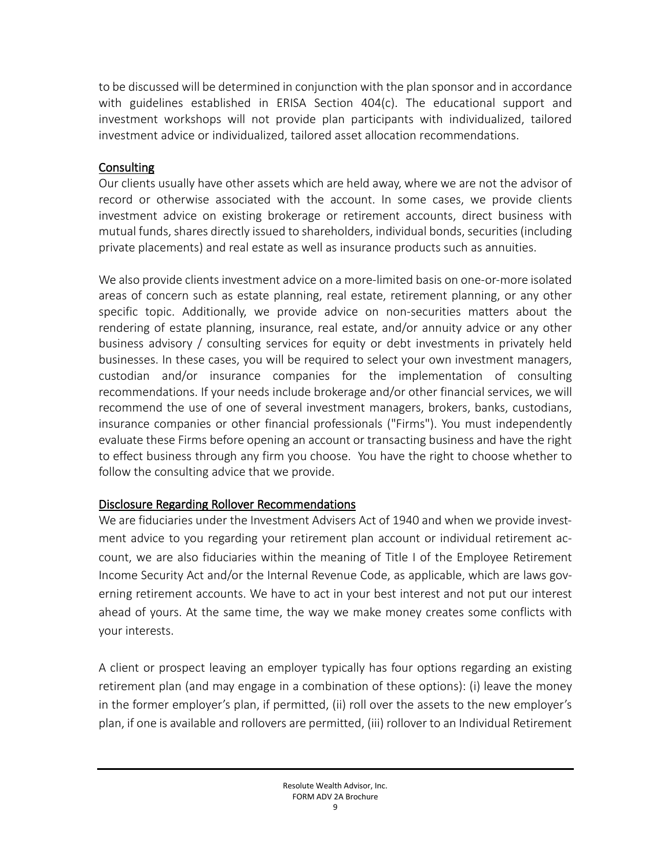to be discussed will be determined in conjunction with the plan sponsor and in accordance with guidelines established in ERISA Section 404(c). The educational support and investment workshops will not provide plan participants with individualized, tailored investment advice or individualized, tailored asset allocation recommendations.

### Consulting

Our clients usually have other assets which are held away, where we are not the advisor of record or otherwise associated with the account. In some cases, we provide clients investment advice on existing brokerage or retirement accounts, direct business with mutual funds, shares directly issued to shareholders, individual bonds, securities (including private placements) and real estate as well as insurance products such as annuities.

We also provide clients investment advice on a more-limited basis on one-or-more isolated areas of concern such as estate planning, real estate, retirement planning, or any other specific topic. Additionally, we provide advice on non-securities matters about the rendering of estate planning, insurance, real estate, and/or annuity advice or any other business advisory / consulting services for equity or debt investments in privately held businesses. In these cases, you will be required to select your own investment managers, custodian and/or insurance companies for the implementation of consulting recommendations. If your needs include brokerage and/or other financial services, we will recommend the use of one of several investment managers, brokers, banks, custodians, insurance companies or other financial professionals ("Firms"). You must independently evaluate these Firms before opening an account or transacting business and have the right to effect business through any firm you choose. You have the right to choose whether to follow the consulting advice that we provide.

## Disclosure Regarding Rollover Recommendations

We are fiduciaries under the Investment Advisers Act of 1940 and when we provide investment advice to you regarding your retirement plan account or individual retirement account, we are also fiduciaries within the meaning of Title I of the Employee Retirement Income Security Act and/or the Internal Revenue Code, as applicable, which are laws governing retirement accounts. We have to act in your best interest and not put our interest ahead of yours. At the same time, the way we make money creates some conflicts with your interests.

A client or prospect leaving an employer typically has four options regarding an existing retirement plan (and may engage in a combination of these options): (i) leave the money in the former employer's plan, if permitted, (ii) roll over the assets to the new employer's plan, if one is available and rollovers are permitted, (iii) rollover to an Individual Retirement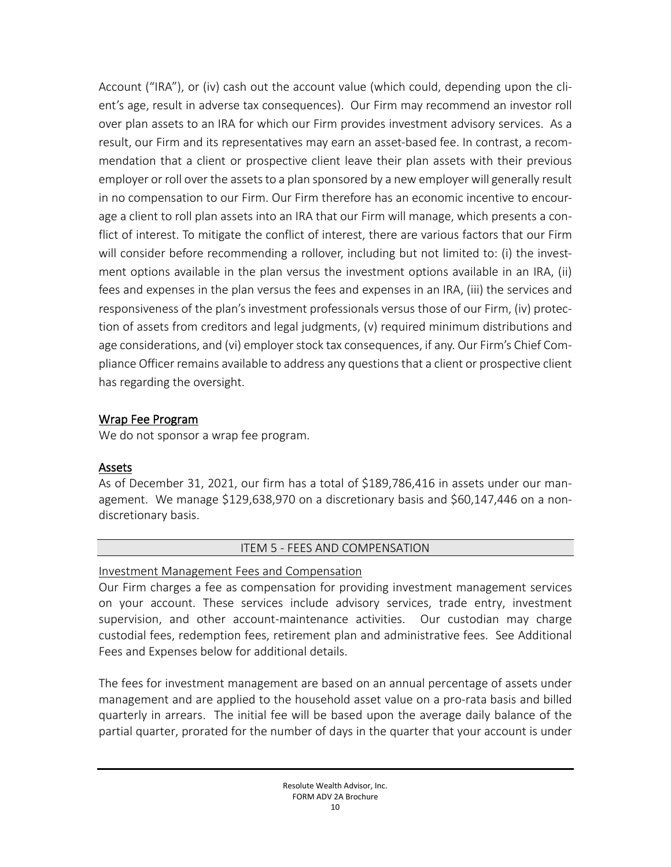Account ("IRA"), or (iv) cash out the account value (which could, depending upon the client's age, result in adverse tax consequences). Our Firm may recommend an investor roll over plan assets to an IRA for which our Firm provides investment advisory services. As a result, our Firm and its representatives may earn an asset-based fee. In contrast, a recommendation that a client or prospective client leave their plan assets with their previous employer or roll over the assets to a plan sponsored by a new employer will generally result in no compensation to our Firm. Our Firm therefore has an economic incentive to encourage a client to roll plan assets into an IRA that our Firm will manage, which presents a conflict of interest. To mitigate the conflict of interest, there are various factors that our Firm will consider before recommending a rollover, including but not limited to: (i) the investment options available in the plan versus the investment options available in an IRA, (ii) fees and expenses in the plan versus the fees and expenses in an IRA, (iii) the services and responsiveness of the plan's investment professionals versus those of our Firm, (iv) protection of assets from creditors and legal judgments, (v) required minimum distributions and age considerations, and (vi) employer stock tax consequences, if any. Our Firm's Chief Compliance Officer remains available to address any questions that a client or prospective client has regarding the oversight.

### Wrap Fee Program

We do not sponsor a wrap fee program.

## Assets

As of December 31, 2021, our firm has a total of \$189,786,416 in assets under our management. We manage \$129,638,970 on a discretionary basis and \$60,147,446 on a nondiscretionary basis.

## ITEM 5 - FEES AND COMPENSATION

### <span id="page-9-0"></span>Investment Management Fees and Compensation

Our Firm charges a fee as compensation for providing investment management services on your account. These services include advisory services, trade entry, investment supervision, and other account-maintenance activities. Our custodian may charge custodial fees, redemption fees, retirement plan and administrative fees. See Additional Fees and Expenses below for additional details.

The fees for investment management are based on an annual percentage of assets under management and are applied to the household asset value on a pro-rata basis and billed quarterly in arrears. The initial fee will be based upon the average daily balance of the partial quarter, prorated for the number of days in the quarter that your account is under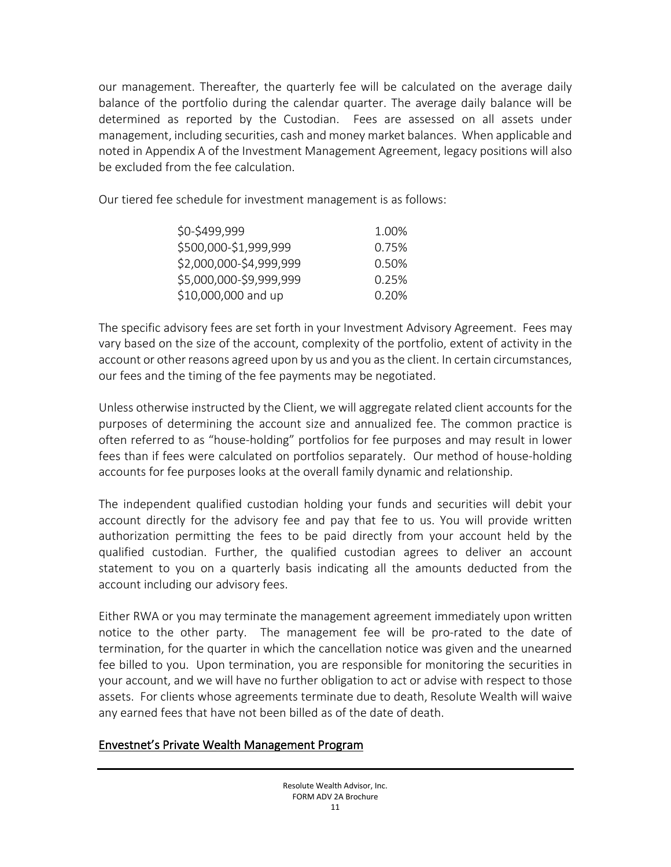our management. Thereafter, the quarterly fee will be calculated on the average daily balance of the portfolio during the calendar quarter. The average daily balance will be determined as reported by the Custodian. Fees are assessed on all assets under management, including securities, cash and money market balances. When applicable and noted in Appendix A of the Investment Management Agreement, legacy positions will also be excluded from the fee calculation.

Our tiered fee schedule for investment management is as follows:

| \$0-\$499,999           | 1.00% |
|-------------------------|-------|
| \$500,000-\$1,999,999   | 0.75% |
| \$2,000,000-\$4,999,999 | 0.50% |
| \$5,000,000-\$9,999,999 | 0.25% |
| \$10,000,000 and up     | 0.20% |

The specific advisory fees are set forth in your Investment Advisory Agreement. Fees may vary based on the size of the account, complexity of the portfolio, extent of activity in the account or other reasons agreed upon by us and you asthe client. In certain circumstances, our fees and the timing of the fee payments may be negotiated.

Unless otherwise instructed by the Client, we will aggregate related client accounts for the purposes of determining the account size and annualized fee. The common practice is often referred to as "house-holding" portfolios for fee purposes and may result in lower fees than if fees were calculated on portfolios separately. Our method of house-holding accounts for fee purposes looks at the overall family dynamic and relationship.

The independent qualified custodian holding your funds and securities will debit your account directly for the advisory fee and pay that fee to us. You will provide written authorization permitting the fees to be paid directly from your account held by the qualified custodian. Further, the qualified custodian agrees to deliver an account statement to you on a quarterly basis indicating all the amounts deducted from the account including our advisory fees.

Either RWA or you may terminate the management agreement immediately upon written notice to the other party. The management fee will be pro-rated to the date of termination, for the quarter in which the cancellation notice was given and the unearned fee billed to you. Upon termination, you are responsible for monitoring the securities in your account, and we will have no further obligation to act or advise with respect to those assets. For clients whose agreements terminate due to death, Resolute Wealth will waive any earned fees that have not been billed as of the date of death.

# Envestnet's Private Wealth Management Program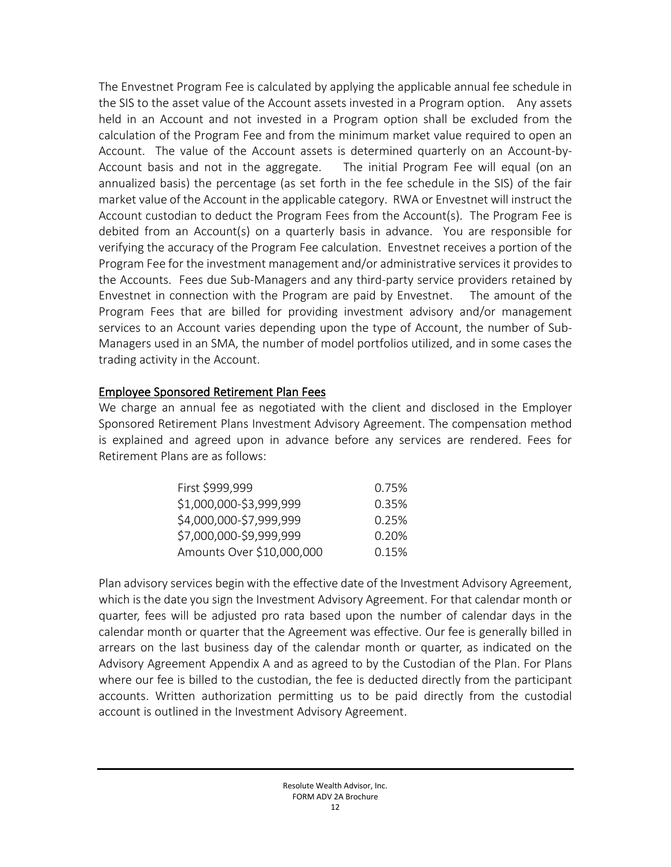The Envestnet Program Fee is calculated by applying the applicable annual fee schedule in the SIS to the asset value of the Account assets invested in a Program option. Any assets held in an Account and not invested in a Program option shall be excluded from the calculation of the Program Fee and from the minimum market value required to open an Account. The value of the Account assets is determined quarterly on an Account-by-Account basis and not in the aggregate. The initial Program Fee will equal (on an annualized basis) the percentage (as set forth in the fee schedule in the SIS) of the fair market value of the Account in the applicable category. RWA or Envestnet will instruct the Account custodian to deduct the Program Fees from the Account(s). The Program Fee is debited from an Account(s) on a quarterly basis in advance. You are responsible for verifying the accuracy of the Program Fee calculation. Envestnet receives a portion of the Program Fee for the investment management and/or administrative services it provides to the Accounts. Fees due Sub-Managers and any third-party service providers retained by Envestnet in connection with the Program are paid by Envestnet. The amount of the Program Fees that are billed for providing investment advisory and/or management services to an Account varies depending upon the type of Account, the number of Sub-Managers used in an SMA, the number of model portfolios utilized, and in some cases the trading activity in the Account.

### Employee Sponsored Retirement Plan Fees

We charge an annual fee as negotiated with the client and disclosed in the Employer Sponsored Retirement Plans Investment Advisory Agreement. The compensation method is explained and agreed upon in advance before any services are rendered. Fees for Retirement Plans are as follows:

| First \$999,999           | 0.75% |
|---------------------------|-------|
| \$1,000,000-\$3,999,999   | 0.35% |
| \$4,000,000-\$7,999,999   | 0.25% |
| \$7,000,000-\$9,999,999   | 0.20% |
| Amounts Over \$10,000,000 | 0.15% |

Plan advisory services begin with the effective date of the Investment Advisory Agreement, which is the date you sign the Investment Advisory Agreement. For that calendar month or quarter, fees will be adjusted pro rata based upon the number of calendar days in the calendar month or quarter that the Agreement was effective. Our fee is generally billed in arrears on the last business day of the calendar month or quarter, as indicated on the Advisory Agreement Appendix A and as agreed to by the Custodian of the Plan. For Plans where our fee is billed to the custodian, the fee is deducted directly from the participant accounts. Written authorization permitting us to be paid directly from the custodial account is outlined in the Investment Advisory Agreement.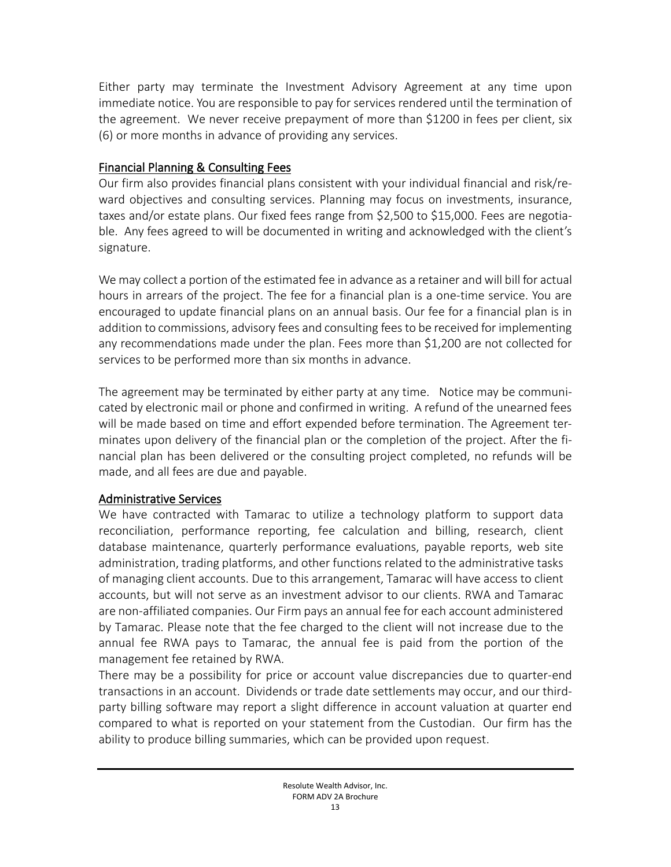Either party may terminate the Investment Advisory Agreement at any time upon immediate notice. You are responsible to pay for services rendered until the termination of the agreement. We never receive prepayment of more than \$1200 in fees per client, six (6) or more months in advance of providing any services.

### Financial Planning & Consulting Fees

Our firm also provides financial plans consistent with your individual financial and risk/reward objectives and consulting services. Planning may focus on investments, insurance, taxes and/or estate plans. Our fixed fees range from \$2,500 to \$15,000. Fees are negotiable. Any fees agreed to will be documented in writing and acknowledged with the client's signature.

We may collect a portion of the estimated fee in advance as a retainer and will bill for actual hours in arrears of the project. The fee for a financial plan is a one-time service. You are encouraged to update financial plans on an annual basis. Our fee for a financial plan is in addition to commissions, advisory fees and consulting feesto be received for implementing any recommendations made under the plan. Fees more than \$1,200 are not collected for services to be performed more than six months in advance.

The agreement may be terminated by either party at any time. Notice may be communicated by electronic mail or phone and confirmed in writing. A refund of the unearned fees will be made based on time and effort expended before termination. The Agreement terminates upon delivery of the financial plan or the completion of the project. After the financial plan has been delivered or the consulting project completed, no refunds will be made, and all fees are due and payable.

### Administrative Services

We have contracted with Tamarac to utilize a technology platform to support data reconciliation, performance reporting, fee calculation and billing, research, client database maintenance, quarterly performance evaluations, payable reports, web site administration, trading platforms, and other functions related to the administrative tasks of managing client accounts. Due to this arrangement, Tamarac will have access to client accounts, but will not serve as an investment advisor to our clients. RWA and Tamarac are non-affiliated companies. Our Firm pays an annual fee for each account administered by Tamarac. Please note that the fee charged to the client will not increase due to the annual fee RWA pays to Tamarac, the annual fee is paid from the portion of the management fee retained by RWA.

There may be a possibility for price or account value discrepancies due to quarter-end transactions in an account. Dividends or trade date settlements may occur, and our thirdparty billing software may report a slight difference in account valuation at quarter end compared to what is reported on your statement from the Custodian. Our firm has the ability to produce billing summaries, which can be provided upon request.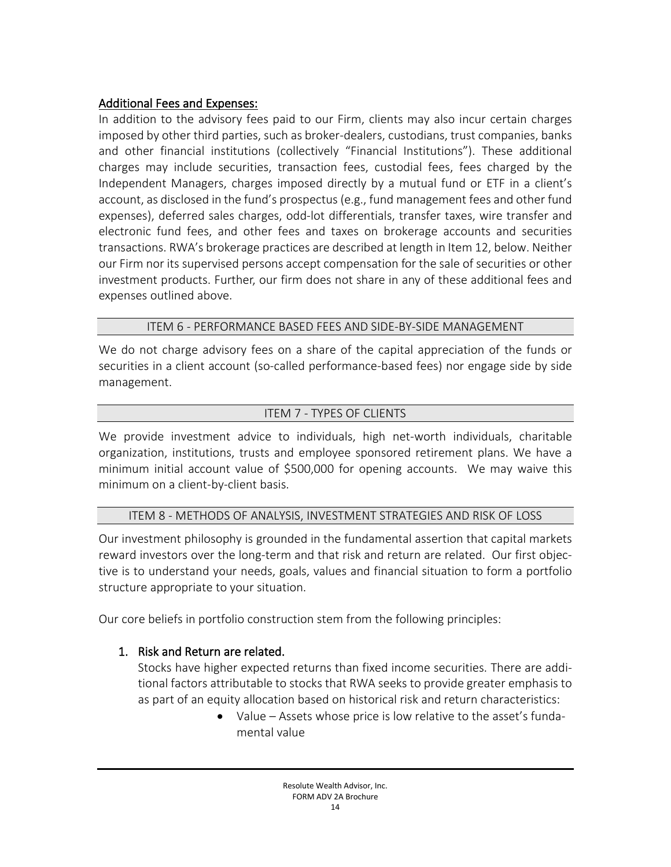## Additional Fees and Expenses:

In addition to the advisory fees paid to our Firm, clients may also incur certain charges imposed by other third parties, such as broker-dealers, custodians, trust companies, banks and other financial institutions (collectively "Financial Institutions"). These additional charges may include securities, transaction fees, custodial fees, fees charged by the Independent Managers, charges imposed directly by a mutual fund or ETF in a client's account, as disclosed in the fund's prospectus (e.g., fund management fees and other fund expenses), deferred sales charges, odd-lot differentials, transfer taxes, wire transfer and electronic fund fees, and other fees and taxes on brokerage accounts and securities transactions. RWA's brokerage practices are described at length in Item 12, below. Neither our Firm nor its supervised persons accept compensation for the sale of securities or other investment products. Further, our firm does not share in any of these additional fees and expenses outlined above.

### ITEM 6 - PERFORMANCE BASED FEES AND SIDE-BY-SIDE MANAGEMENT

<span id="page-13-0"></span>We do not charge advisory fees on a share of the capital appreciation of the funds or securities in a client account (so-called performance-based fees) nor engage side by side management.

## ITEM 7 - TYPES OF CLIENTS

<span id="page-13-1"></span>We provide investment advice to individuals, high net-worth individuals, charitable organization, institutions, trusts and employee sponsored retirement plans. We have a minimum initial account value of \$500,000 for opening accounts. We may waive this minimum on a client-by-client basis.

## ITEM 8 - METHODS OF ANALYSIS, INVESTMENT STRATEGIES AND RISK OF LOSS

<span id="page-13-2"></span>Our investment philosophy is grounded in the fundamental assertion that capital markets reward investors over the long-term and that risk and return are related. Our first objective is to understand your needs, goals, values and financial situation to form a portfolio structure appropriate to your situation.

Our core beliefs in portfolio construction stem from the following principles:

# 1. Risk and Return are related.

Stocks have higher expected returns than fixed income securities. There are additional factors attributable to stocks that RWA seeks to provide greater emphasis to as part of an equity allocation based on historical risk and return characteristics:

> • Value – Assets whose price is low relative to the asset's fundamental value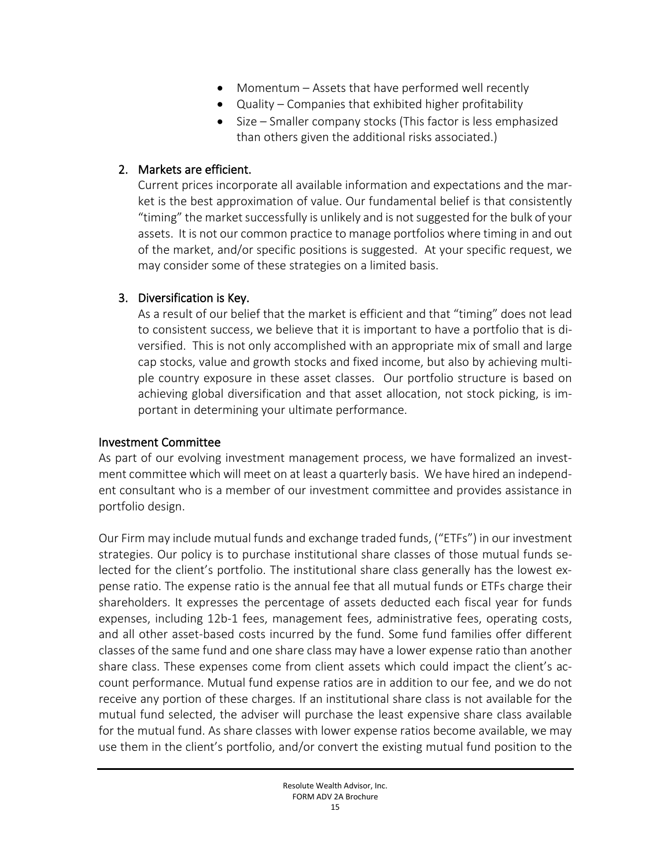- Momentum Assets that have performed well recently
- Quality Companies that exhibited higher profitability
- Size Smaller company stocks (This factor is less emphasized than others given the additional risks associated.)

### 2. Markets are efficient.

Current prices incorporate all available information and expectations and the market is the best approximation of value. Our fundamental belief is that consistently "timing" the market successfully is unlikely and is not suggested for the bulk of your assets. It is not our common practice to manage portfolios where timing in and out of the market, and/or specific positions is suggested. At your specific request, we may consider some of these strategies on a limited basis.

## 3. Diversification is Key.

As a result of our belief that the market is efficient and that "timing" does not lead to consistent success, we believe that it is important to have a portfolio that is diversified. This is not only accomplished with an appropriate mix of small and large cap stocks, value and growth stocks and fixed income, but also by achieving multiple country exposure in these asset classes. Our portfolio structure is based on achieving global diversification and that asset allocation, not stock picking, is important in determining your ultimate performance.

## Investment Committee

As part of our evolving investment management process, we have formalized an investment committee which will meet on at least a quarterly basis. We have hired an independent consultant who is a member of our investment committee and provides assistance in portfolio design.

Our Firm may include mutual funds and exchange traded funds, ("ETFs") in our investment strategies. Our policy is to purchase institutional share classes of those mutual funds selected for the client's portfolio. The institutional share class generally has the lowest expense ratio. The expense ratio is the annual fee that all mutual funds or ETFs charge their shareholders. It expresses the percentage of assets deducted each fiscal year for funds expenses, including 12b-1 fees, management fees, administrative fees, operating costs, and all other asset-based costs incurred by the fund. Some fund families offer different classes of the same fund and one share class may have a lower expense ratio than another share class. These expenses come from client assets which could impact the client's account performance. Mutual fund expense ratios are in addition to our fee, and we do not receive any portion of these charges. If an institutional share class is not available for the mutual fund selected, the adviser will purchase the least expensive share class available for the mutual fund. As share classes with lower expense ratios become available, we may use them in the client's portfolio, and/or convert the existing mutual fund position to the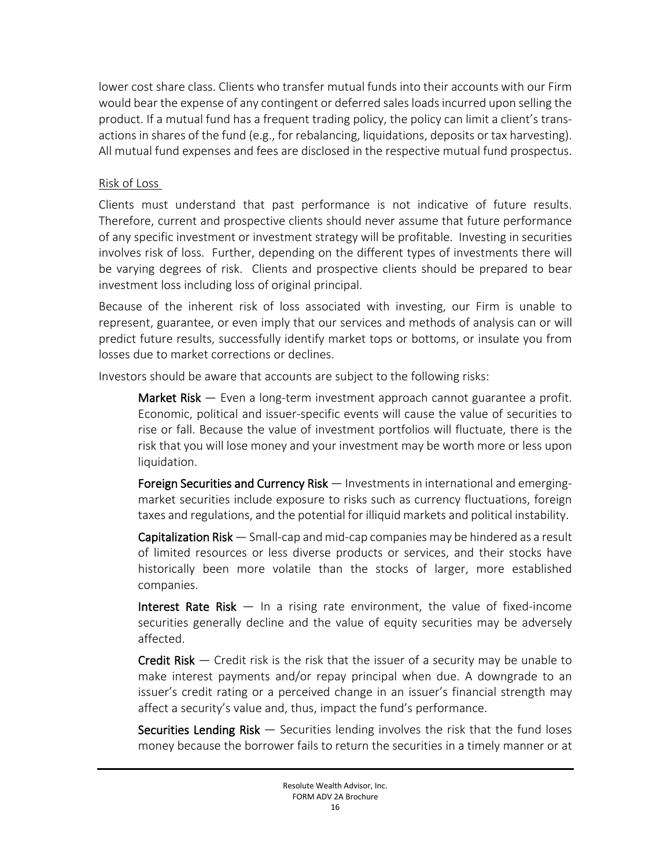lower cost share class. Clients who transfer mutual funds into their accounts with our Firm would bear the expense of any contingent or deferred sales loads incurred upon selling the product. If a mutual fund has a frequent trading policy, the policy can limit a client's transactions in shares of the fund (e.g., for rebalancing, liquidations, deposits or tax harvesting). All mutual fund expenses and fees are disclosed in the respective mutual fund prospectus.

### Risk of Loss

Clients must understand that past performance is not indicative of future results. Therefore, current and prospective clients should never assume that future performance of any specific investment or investment strategy will be profitable. Investing in securities involves risk of loss. Further, depending on the different types of investments there will be varying degrees of risk. Clients and prospective clients should be prepared to bear investment loss including loss of original principal.

Because of the inherent risk of loss associated with investing, our Firm is unable to represent, guarantee, or even imply that our services and methods of analysis can or will predict future results, successfully identify market tops or bottoms, or insulate you from losses due to market corrections or declines.

Investors should be aware that accounts are subject to the following risks:

Market Risk — Even a long-term investment approach cannot guarantee a profit. Economic, political and issuer-specific events will cause the value of securities to rise or fall. Because the value of investment portfolios will fluctuate, there is the risk that you will lose money and your investment may be worth more or less upon liquidation.

Foreign Securities and Currency Risk — Investments in international and emergingmarket securities include exposure to risks such as currency fluctuations, foreign taxes and regulations, and the potential for illiquid markets and political instability.

Capitalization Risk — Small-cap and mid-cap companies may be hindered as a result of limited resources or less diverse products or services, and their stocks have historically been more volatile than the stocks of larger, more established companies.

Interest Rate Risk — In a rising rate environment, the value of fixed-income securities generally decline and the value of equity securities may be adversely affected.

**Credit Risk**  $-$  Credit risk is the risk that the issuer of a security may be unable to make interest payments and/or repay principal when due. A downgrade to an issuer's credit rating or a perceived change in an issuer's financial strength may affect a security's value and, thus, impact the fund's performance.

**Securities Lending Risk**  $-$  Securities lending involves the risk that the fund loses money because the borrower fails to return the securities in a timely manner or at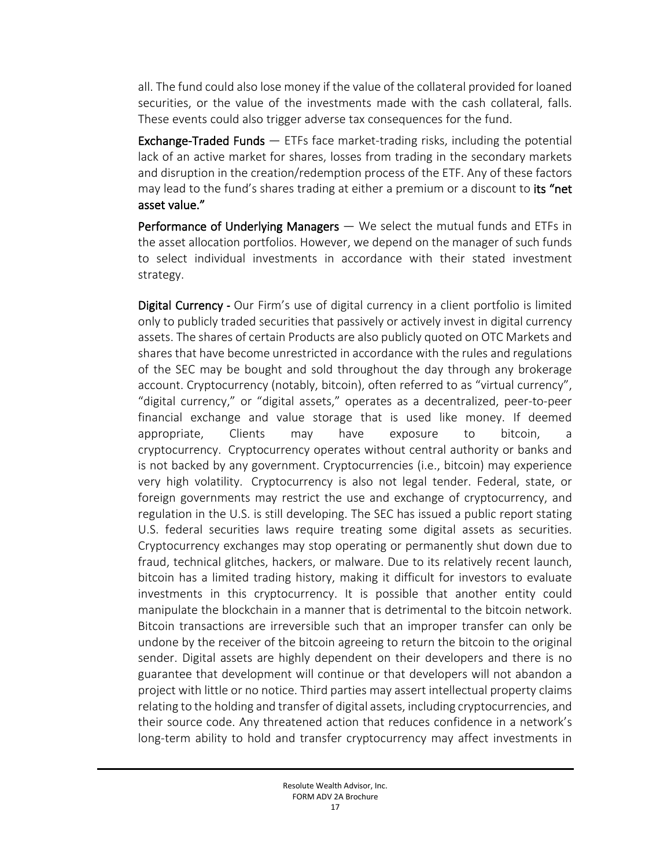all. The fund could also lose money if the value of the collateral provided for loaned securities, or the value of the investments made with the cash collateral, falls. These events could also trigger adverse tax consequences for the fund.

Exchange-Traded Funds — ETFs face market-trading risks, including the potential lack of an active market for shares, losses from trading in the secondary markets and disruption in the creation/redemption process of the ETF. Any of these factors may lead to the fund's shares trading at either a premium or a discount to its "net asset value."

Performance of Underlying Managers - We select the mutual funds and ETFs in the asset allocation portfolios. However, we depend on the manager of such funds to select individual investments in accordance with their stated investment strategy.

Digital Currency *-* Our Firm's use of digital currency in a client portfolio is limited only to publicly traded securities that passively or actively invest in digital currency assets. The shares of certain Products are also publicly quoted on OTC Markets and shares that have become unrestricted in accordance with the rules and regulations of the SEC may be bought and sold throughout the day through any brokerage account. Cryptocurrency (notably, bitcoin), often referred to as "virtual currency", "digital currency," or "digital assets," operates as a decentralized, peer-to-peer financial exchange and value storage that is used like money. If deemed appropriate, Clients may have exposure to bitcoin, a cryptocurrency. Cryptocurrency operates without central authority or banks and is not backed by any government. Cryptocurrencies (i.e., bitcoin) may experience very high volatility. Cryptocurrency is also not legal tender. Federal, state, or foreign governments may restrict the use and exchange of cryptocurrency, and regulation in the U.S. is still developing. The SEC has issued a public report stating U.S. federal securities laws require treating some digital assets as securities. Cryptocurrency exchanges may stop operating or permanently shut down due to fraud, technical glitches, hackers, or malware. Due to its relatively recent launch, bitcoin has a limited trading history, making it difficult for investors to evaluate investments in this cryptocurrency. It is possible that another entity could manipulate the blockchain in a manner that is detrimental to the bitcoin network. Bitcoin transactions are irreversible such that an improper transfer can only be undone by the receiver of the bitcoin agreeing to return the bitcoin to the original sender. Digital assets are highly dependent on their developers and there is no guarantee that development will continue or that developers will not abandon a project with little or no notice. Third parties may assert intellectual property claims relating to the holding and transfer of digital assets, including cryptocurrencies, and their source code. Any threatened action that reduces confidence in a network's long-term ability to hold and transfer cryptocurrency may affect investments in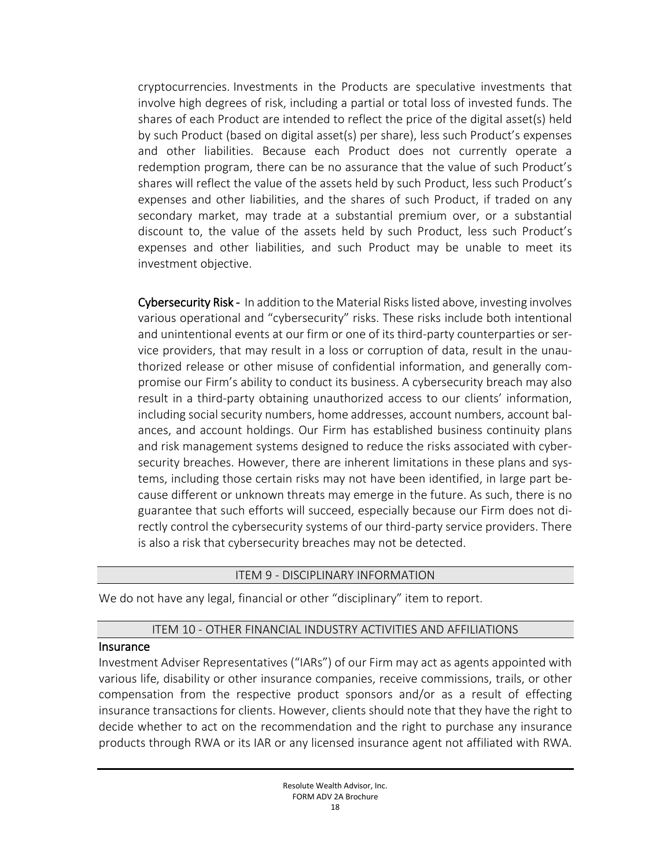cryptocurrencies. Investments in the Products are speculative investments that involve high degrees of risk, including a partial or total loss of invested funds. The shares of each Product are intended to reflect the price of the digital asset(s) held by such Product (based on digital asset(s) per share), less such Product's expenses and other liabilities. Because each Product does not currently operate a redemption program, there can be no assurance that the value of such Product's shares will reflect the value of the assets held by such Product, less such Product's expenses and other liabilities, and the shares of such Product, if traded on any secondary market, may trade at a substantial premium over, or a substantial discount to, the value of the assets held by such Product, less such Product's expenses and other liabilities, and such Product may be unable to meet its investment objective.

Cybersecurity Risk - In addition to the Material Riskslisted above, investing involves various operational and "cybersecurity" risks. These risks include both intentional and unintentional events at our firm or one of its third-party counterparties or service providers, that may result in a loss or corruption of data, result in the unauthorized release or other misuse of confidential information, and generally compromise our Firm's ability to conduct its business. A cybersecurity breach may also result in a third-party obtaining unauthorized access to our clients' information, including social security numbers, home addresses, account numbers, account balances, and account holdings. Our Firm has established business continuity plans and risk management systems designed to reduce the risks associated with cybersecurity breaches. However, there are inherent limitations in these plans and systems, including those certain risks may not have been identified, in large part because different or unknown threats may emerge in the future. As such, there is no guarantee that such efforts will succeed, especially because our Firm does not directly control the cybersecurity systems of our third-party service providers. There is also a risk that cybersecurity breaches may not be detected.

#### ITEM 9 - DISCIPLINARY INFORMATION

<span id="page-17-0"></span>We do not have any legal, financial or other "disciplinary" item to report.

#### ITEM 10 - OTHER FINANCIAL INDUSTRY ACTIVITIES AND AFFILIATIONS

#### <span id="page-17-1"></span>**Insurance**

Investment Adviser Representatives ("IARs") of our Firm may act as agents appointed with various life, disability or other insurance companies, receive commissions, trails, or other compensation from the respective product sponsors and/or as a result of effecting insurance transactions for clients. However, clients should note that they have the right to decide whether to act on the recommendation and the right to purchase any insurance products through RWA or its IAR or any licensed insurance agent not affiliated with RWA.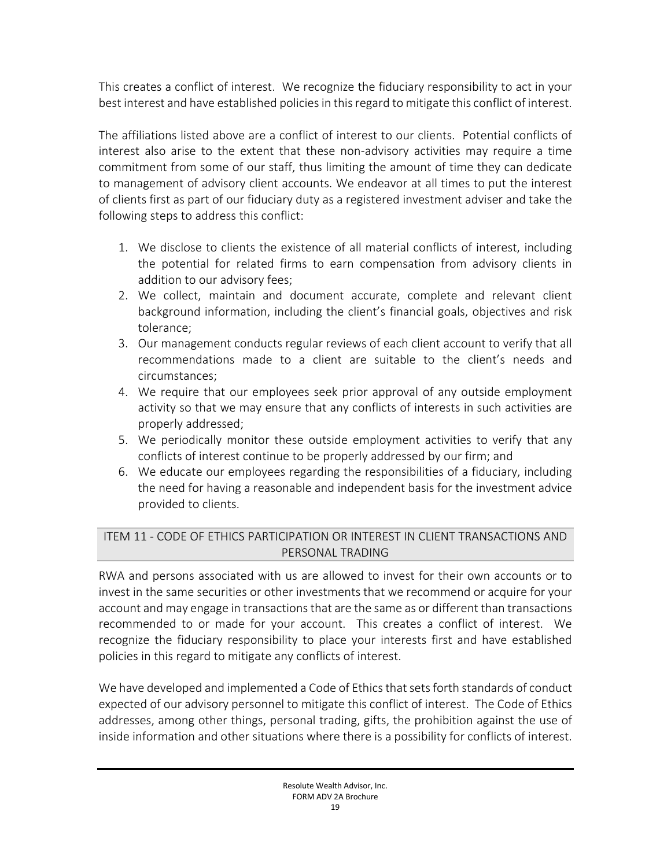This creates a conflict of interest. We recognize the fiduciary responsibility to act in your best interest and have established policies in this regard to mitigate this conflict of interest.

The affiliations listed above are a conflict of interest to our clients. Potential conflicts of interest also arise to the extent that these non-advisory activities may require a time commitment from some of our staff, thus limiting the amount of time they can dedicate to management of advisory client accounts. We endeavor at all times to put the interest of clients first as part of our fiduciary duty as a registered investment adviser and take the following steps to address this conflict:

- 1. We disclose to clients the existence of all material conflicts of interest, including the potential for related firms to earn compensation from advisory clients in addition to our advisory fees;
- 2. We collect, maintain and document accurate, complete and relevant client background information, including the client's financial goals, objectives and risk tolerance;
- 3. Our management conducts regular reviews of each client account to verify that all recommendations made to a client are suitable to the client's needs and circumstances;
- 4. We require that our employees seek prior approval of any outside employment activity so that we may ensure that any conflicts of interests in such activities are properly addressed;
- 5. We periodically monitor these outside employment activities to verify that any conflicts of interest continue to be properly addressed by our firm; and
- 6. We educate our employees regarding the responsibilities of a fiduciary, including the need for having a reasonable and independent basis for the investment advice provided to clients.

## <span id="page-18-0"></span>ITEM 11 - CODE OF ETHICS PARTICIPATION OR INTEREST IN CLIENT TRANSACTIONS AND PERSONAL TRADING

RWA and persons associated with us are allowed to invest for their own accounts or to invest in the same securities or other investments that we recommend or acquire for your account and may engage in transactions that are the same as or different than transactions recommended to or made for your account. This creates a conflict of interest. We recognize the fiduciary responsibility to place your interests first and have established policies in this regard to mitigate any conflicts of interest.

We have developed and implemented a Code of Ethics that sets forth standards of conduct expected of our advisory personnel to mitigate this conflict of interest. The Code of Ethics addresses, among other things, personal trading, gifts, the prohibition against the use of inside information and other situations where there is a possibility for conflicts of interest.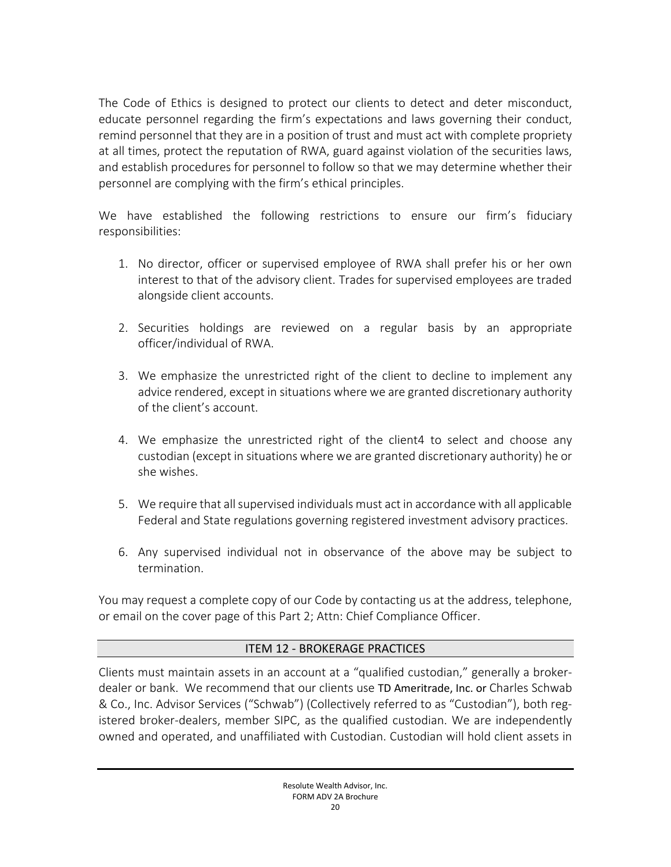The Code of Ethics is designed to protect our clients to detect and deter misconduct, educate personnel regarding the firm's expectations and laws governing their conduct, remind personnel that they are in a position of trust and must act with complete propriety at all times, protect the reputation of RWA, guard against violation of the securities laws, and establish procedures for personnel to follow so that we may determine whether their personnel are complying with the firm's ethical principles.

We have established the following restrictions to ensure our firm's fiduciary responsibilities:

- 1. No director, officer or supervised employee of RWA shall prefer his or her own interest to that of the advisory client. Trades for supervised employees are traded alongside client accounts.
- 2. Securities holdings are reviewed on a regular basis by an appropriate officer/individual of RWA.
- 3. We emphasize the unrestricted right of the client to decline to implement any advice rendered, except in situations where we are granted discretionary authority of the client's account.
- 4. We emphasize the unrestricted right of the client4 to select and choose any custodian (except in situations where we are granted discretionary authority) he or she wishes.
- 5. We require that allsupervised individuals must act in accordance with all applicable Federal and State regulations governing registered investment advisory practices.
- 6. Any supervised individual not in observance of the above may be subject to termination.

You may request a complete copy of our Code by contacting us at the address, telephone, or email on the cover page of this Part 2; Attn: Chief Compliance Officer.

## ITEM 12 - BROKERAGE PRACTICES

<span id="page-19-0"></span>Clients must maintain assets in an account at a "qualified custodian," generally a brokerdealer or bank. We recommend that our clients use TD Ameritrade, Inc. or Charles Schwab & Co., Inc. Advisor Services ("Schwab") (Collectively referred to as "Custodian"), both registered broker-dealers, member SIPC, as the qualified custodian. We are independently owned and operated, and unaffiliated with Custodian. Custodian will hold client assets in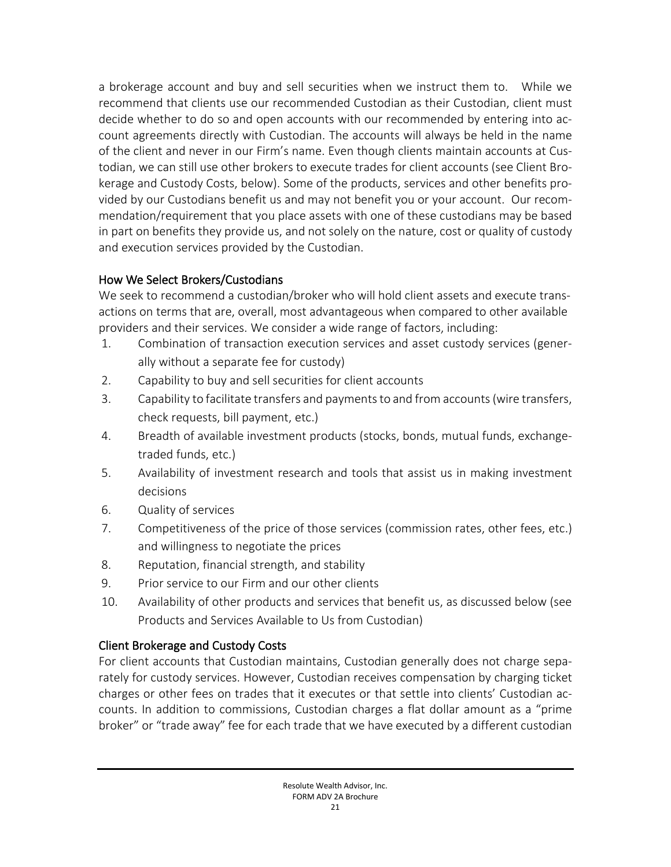a brokerage account and buy and sell securities when we instruct them to. While we recommend that clients use our recommended Custodian as their Custodian, client must decide whether to do so and open accounts with our recommended by entering into account agreements directly with Custodian. The accounts will always be held in the name of the client and never in our Firm's name. Even though clients maintain accounts at Custodian, we can still use other brokers to execute trades for client accounts (see Client Brokerage and Custody Costs, below). Some of the products, services and other benefits provided by our Custodians benefit us and may not benefit you or your account. Our recommendation/requirement that you place assets with one of these custodians may be based in part on benefits they provide us, and not solely on the nature, cost or quality of custody and execution services provided by the Custodian.

## How We Select Brokers/Custodians

We seek to recommend a custodian/broker who will hold client assets and execute transactions on terms that are, overall, most advantageous when compared to other available providers and their services. We consider a wide range of factors, including:

- 1. Combination of transaction execution services and asset custody services (generally without a separate fee for custody)
- 2. Capability to buy and sell securities for client accounts
- 3. Capability to facilitate transfers and payments to and from accounts (wire transfers, check requests, bill payment, etc.)
- 4. Breadth of available investment products (stocks, bonds, mutual funds, exchangetraded funds, etc.)
- 5. Availability of investment research and tools that assist us in making investment decisions
- 6. Quality of services
- 7. Competitiveness of the price of those services (commission rates, other fees, etc.) and willingness to negotiate the prices
- 8. Reputation, financial strength, and stability
- 9. Prior service to our Firm and our other clients
- 10. Availability of other products and services that benefit us, as discussed below (see Products and Services Available to Us from Custodian)

# Client Brokerage and Custody Costs

For client accounts that Custodian maintains, Custodian generally does not charge separately for custody services. However, Custodian receives compensation by charging ticket charges or other fees on trades that it executes or that settle into clients' Custodian accounts. In addition to commissions, Custodian charges a flat dollar amount as a "prime broker" or "trade away" fee for each trade that we have executed by a different custodian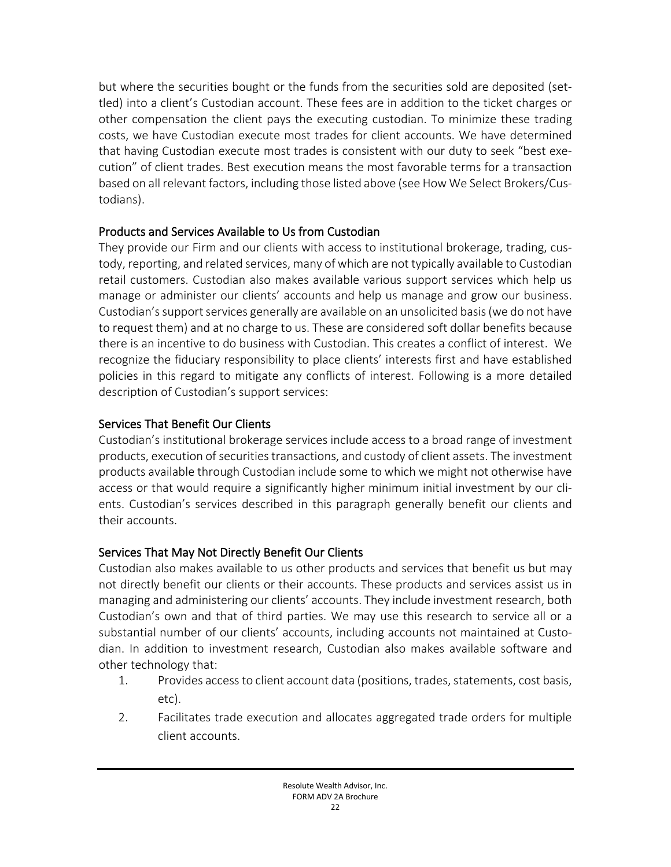but where the securities bought or the funds from the securities sold are deposited (settled) into a client's Custodian account. These fees are in addition to the ticket charges or other compensation the client pays the executing custodian. To minimize these trading costs, we have Custodian execute most trades for client accounts. We have determined that having Custodian execute most trades is consistent with our duty to seek "best execution" of client trades. Best execution means the most favorable terms for a transaction based on all relevant factors, including those listed above (see How We Select Brokers/Custodians).

## Products and Services Available to Us from Custodian

They provide our Firm and our clients with access to institutional brokerage, trading, custody, reporting, and related services, many of which are not typically available to Custodian retail customers. Custodian also makes available various support services which help us manage or administer our clients' accounts and help us manage and grow our business. Custodian's support services generally are available on an unsolicited basis (we do not have to request them) and at no charge to us. These are considered soft dollar benefits because there is an incentive to do business with Custodian. This creates a conflict of interest. We recognize the fiduciary responsibility to place clients' interests first and have established policies in this regard to mitigate any conflicts of interest. Following is a more detailed description of Custodian's support services:

# Services That Benefit Our Clients

Custodian's institutional brokerage services include access to a broad range of investment products, execution of securities transactions, and custody of client assets. The investment products available through Custodian include some to which we might not otherwise have access or that would require a significantly higher minimum initial investment by our clients. Custodian's services described in this paragraph generally benefit our clients and their accounts.

# Services That May Not Directly Benefit Our Clients

Custodian also makes available to us other products and services that benefit us but may not directly benefit our clients or their accounts. These products and services assist us in managing and administering our clients' accounts. They include investment research, both Custodian's own and that of third parties. We may use this research to service all or a substantial number of our clients' accounts, including accounts not maintained at Custodian. In addition to investment research, Custodian also makes available software and other technology that:

- 1. Provides access to client account data (positions, trades, statements, cost basis, etc).
- 2. Facilitates trade execution and allocates aggregated trade orders for multiple client accounts.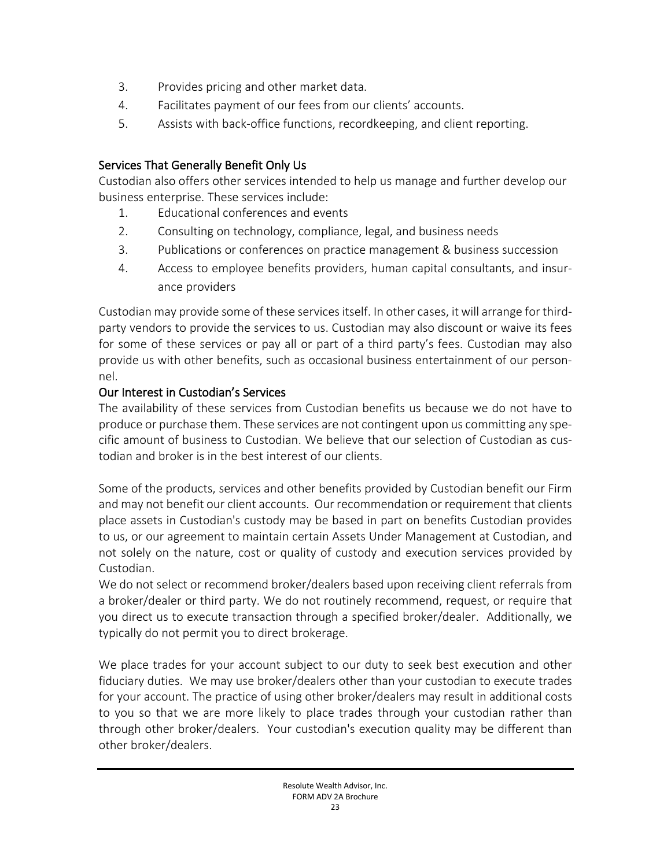- 3. Provides pricing and other market data.
- 4. Facilitates payment of our fees from our clients' accounts.
- 5. Assists with back-office functions, recordkeeping, and client reporting.

# Services That Generally Benefit Only Us

Custodian also offers other services intended to help us manage and further develop our business enterprise. These services include:

- 1. Educational conferences and events
- 2. Consulting on technology, compliance, legal, and business needs
- 3. Publications or conferences on practice management & business succession
- 4. Access to employee benefits providers, human capital consultants, and insurance providers

Custodian may provide some of these services itself. In other cases, it will arrange for thirdparty vendors to provide the services to us. Custodian may also discount or waive its fees for some of these services or pay all or part of a third party's fees. Custodian may also provide us with other benefits, such as occasional business entertainment of our personnel.

## Our Interest in Custodian's Services

The availability of these services from Custodian benefits us because we do not have to produce or purchase them. These services are not contingent upon us committing any specific amount of business to Custodian. We believe that our selection of Custodian as custodian and broker is in the best interest of our clients.

Some of the products, services and other benefits provided by Custodian benefit our Firm and may not benefit our client accounts. Our recommendation or requirement that clients place assets in Custodian's custody may be based in part on benefits Custodian provides to us, or our agreement to maintain certain Assets Under Management at Custodian, and not solely on the nature, cost or quality of custody and execution services provided by Custodian.

We do not select or recommend broker/dealers based upon receiving client referrals from a broker/dealer or third party. We do not routinely recommend, request, or require that you direct us to execute transaction through a specified broker/dealer. Additionally, we typically do not permit you to direct brokerage.

We place trades for your account subject to our duty to seek best execution and other fiduciary duties. We may use broker/dealers other than your custodian to execute trades for your account. The practice of using other broker/dealers may result in additional costs to you so that we are more likely to place trades through your custodian rather than through other broker/dealers. Your custodian's execution quality may be different than other broker/dealers.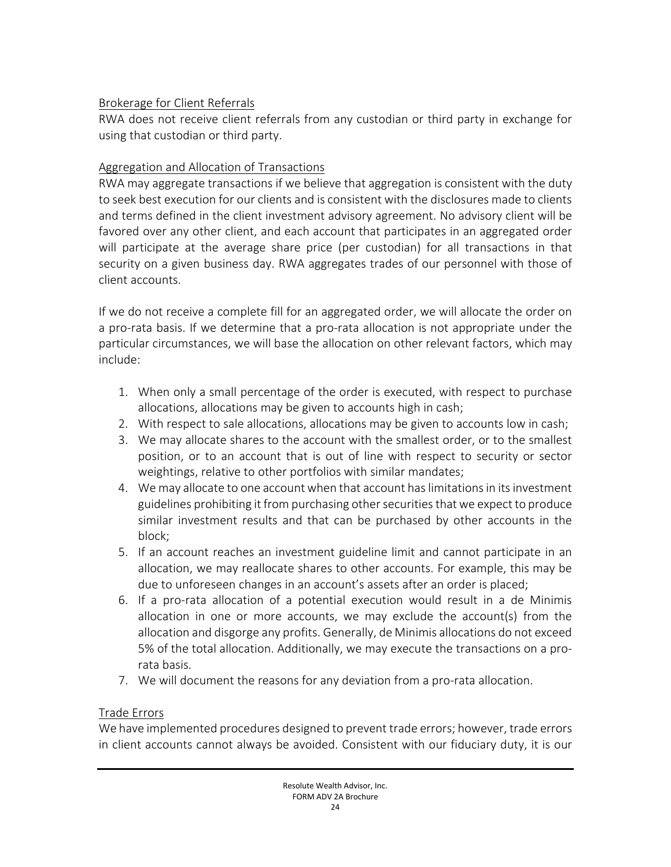## Brokerage for Client Referrals

RWA does not receive client referrals from any custodian or third party in exchange for using that custodian or third party.

# Aggregation and Allocation of Transactions

RWA may aggregate transactions if we believe that aggregation is consistent with the duty to seek best execution for our clients and is consistent with the disclosures made to clients and terms defined in the client investment advisory agreement. No advisory client will be favored over any other client, and each account that participates in an aggregated order will participate at the average share price (per custodian) for all transactions in that security on a given business day. RWA aggregates trades of our personnel with those of client accounts.

If we do not receive a complete fill for an aggregated order, we will allocate the order on a pro-rata basis. If we determine that a pro-rata allocation is not appropriate under the particular circumstances, we will base the allocation on other relevant factors, which may include:

- 1. When only a small percentage of the order is executed, with respect to purchase allocations, allocations may be given to accounts high in cash;
- 2. With respect to sale allocations, allocations may be given to accounts low in cash;
- 3. We may allocate shares to the account with the smallest order, or to the smallest position, or to an account that is out of line with respect to security or sector weightings, relative to other portfolios with similar mandates;
- 4. We may allocate to one account when that account has limitations in its investment guidelines prohibiting it from purchasing other securities that we expect to produce similar investment results and that can be purchased by other accounts in the block;
- 5. If an account reaches an investment guideline limit and cannot participate in an allocation, we may reallocate shares to other accounts. For example, this may be due to unforeseen changes in an account's assets after an order is placed;
- 6. If a pro-rata allocation of a potential execution would result in a de Minimis allocation in one or more accounts, we may exclude the account(s) from the allocation and disgorge any profits. Generally, de Minimis allocations do not exceed 5% of the total allocation. Additionally, we may execute the transactions on a prorata basis.
- 7. We will document the reasons for any deviation from a pro-rata allocation.

# Trade Errors

We have implemented procedures designed to prevent trade errors; however, trade errors in client accounts cannot always be avoided. Consistent with our fiduciary duty, it is our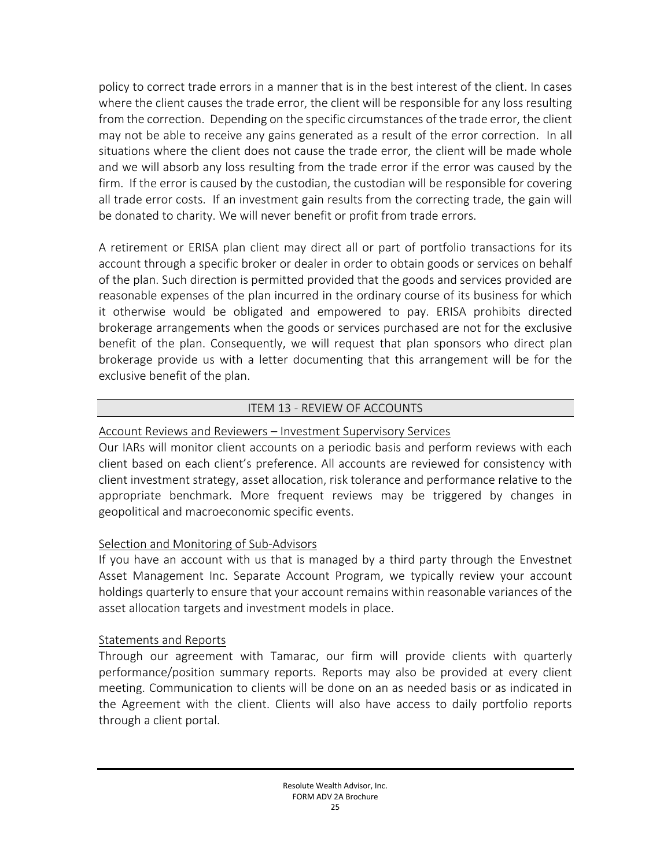policy to correct trade errors in a manner that is in the best interest of the client. In cases where the client causes the trade error, the client will be responsible for any loss resulting from the correction. Depending on the specific circumstances of the trade error, the client may not be able to receive any gains generated as a result of the error correction. In all situations where the client does not cause the trade error, the client will be made whole and we will absorb any loss resulting from the trade error if the error was caused by the firm. If the error is caused by the custodian, the custodian will be responsible for covering all trade error costs. If an investment gain results from the correcting trade, the gain will be donated to charity. We will never benefit or profit from trade errors.

A retirement or ERISA plan client may direct all or part of portfolio transactions for its account through a specific broker or dealer in order to obtain goods or services on behalf of the plan. Such direction is permitted provided that the goods and services provided are reasonable expenses of the plan incurred in the ordinary course of its business for which it otherwise would be obligated and empowered to pay. ERISA prohibits directed brokerage arrangements when the goods or services purchased are not for the exclusive benefit of the plan. Consequently, we will request that plan sponsors who direct plan brokerage provide us with a letter documenting that this arrangement will be for the exclusive benefit of the plan.

### ITEM 13 - REVIEW OF ACCOUNTS

### <span id="page-24-0"></span>Account Reviews and Reviewers – Investment Supervisory Services

Our IARs will monitor client accounts on a periodic basis and perform reviews with each client based on each client's preference. All accounts are reviewed for consistency with client investment strategy, asset allocation, risk tolerance and performance relative to the appropriate benchmark. More frequent reviews may be triggered by changes in geopolitical and macroeconomic specific events.

## Selection and Monitoring of Sub-Advisors

If you have an account with us that is managed by a third party through the Envestnet Asset Management Inc. Separate Account Program, we typically review your account holdings quarterly to ensure that your account remains within reasonable variances of the asset allocation targets and investment models in place.

### Statements and Reports

Through our agreement with Tamarac, our firm will provide clients with quarterly performance/position summary reports. Reports may also be provided at every client meeting. Communication to clients will be done on an as needed basis or as indicated in the Agreement with the client. Clients will also have access to daily portfolio reports through a client portal.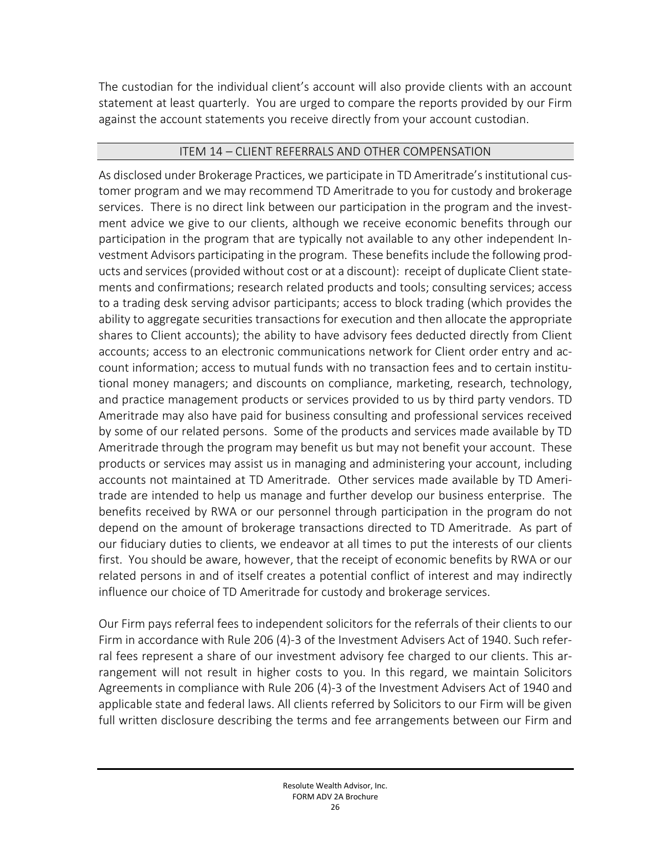The custodian for the individual client's account will also provide clients with an account statement at least quarterly. You are urged to compare the reports provided by our Firm against the account statements you receive directly from your account custodian.

### ITEM 14 – CLIENT REFERRALS AND OTHER COMPENSATION

<span id="page-25-0"></span>As disclosed under Brokerage Practices, we participate in TD Ameritrade's institutional customer program and we may recommend TD Ameritrade to you for custody and brokerage services. There is no direct link between our participation in the program and the investment advice we give to our clients, although we receive economic benefits through our participation in the program that are typically not available to any other independent Investment Advisors participating in the program. These benefits include the following products and services (provided without cost or at a discount): receipt of duplicate Client statements and confirmations; research related products and tools; consulting services; access to a trading desk serving advisor participants; access to block trading (which provides the ability to aggregate securities transactions for execution and then allocate the appropriate shares to Client accounts); the ability to have advisory fees deducted directly from Client accounts; access to an electronic communications network for Client order entry and account information; access to mutual funds with no transaction fees and to certain institutional money managers; and discounts on compliance, marketing, research, technology, and practice management products or services provided to us by third party vendors. TD Ameritrade may also have paid for business consulting and professional services received by some of our related persons. Some of the products and services made available by TD Ameritrade through the program may benefit us but may not benefit your account. These products or services may assist us in managing and administering your account, including accounts not maintained at TD Ameritrade. Other services made available by TD Ameritrade are intended to help us manage and further develop our business enterprise. The benefits received by RWA or our personnel through participation in the program do not depend on the amount of brokerage transactions directed to TD Ameritrade. As part of our fiduciary duties to clients, we endeavor at all times to put the interests of our clients first. You should be aware, however, that the receipt of economic benefits by RWA or our related persons in and of itself creates a potential conflict of interest and may indirectly influence our choice of TD Ameritrade for custody and brokerage services.

Our Firm pays referral fees to independent solicitors for the referrals of their clients to our Firm in accordance with Rule 206 (4)-3 of the Investment Advisers Act of 1940. Such referral fees represent a share of our investment advisory fee charged to our clients. This arrangement will not result in higher costs to you. In this regard, we maintain Solicitors Agreements in compliance with Rule 206 (4)-3 of the Investment Advisers Act of 1940 and applicable state and federal laws. All clients referred by Solicitors to our Firm will be given full written disclosure describing the terms and fee arrangements between our Firm and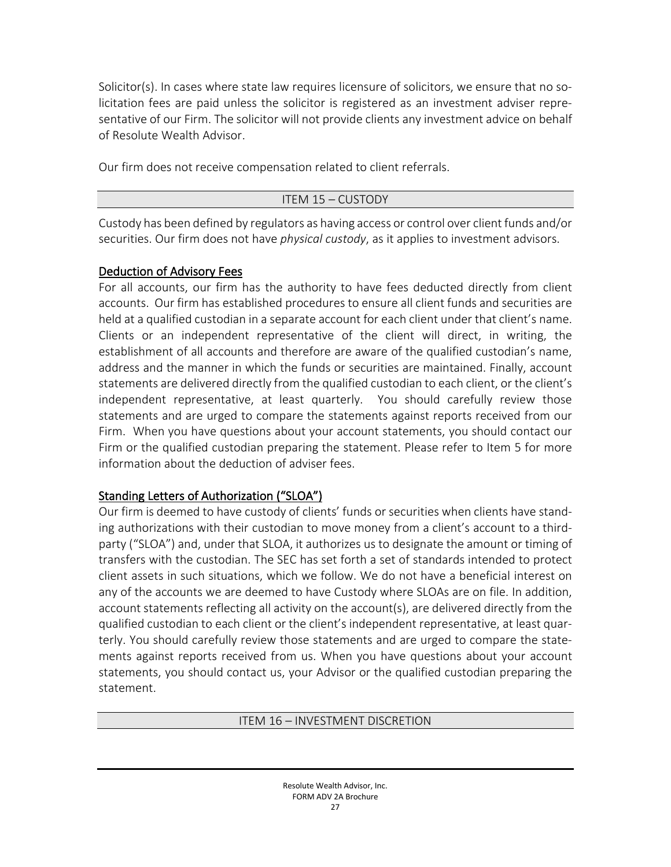Solicitor(s). In cases where state law requires licensure of solicitors, we ensure that no solicitation fees are paid unless the solicitor is registered as an investment adviser representative of our Firm. The solicitor will not provide clients any investment advice on behalf of Resolute Wealth Advisor.

Our firm does not receive compensation related to client referrals.

### ITEM 15 – CUSTODY

<span id="page-26-0"></span>Custody has been defined by regulators as having access or control over client funds and/or securities. Our firm does not have *physical custody*, as it applies to investment advisors.

## Deduction of Advisory Fees

For all accounts, our firm has the authority to have fees deducted directly from client accounts. Our firm has established procedures to ensure all client funds and securities are held at a qualified custodian in a separate account for each client under that client's name. Clients or an independent representative of the client will direct, in writing, the establishment of all accounts and therefore are aware of the qualified custodian's name, address and the manner in which the funds or securities are maintained. Finally, account statements are delivered directly from the qualified custodian to each client, or the client's independent representative, at least quarterly. You should carefully review those statements and are urged to compare the statements against reports received from our Firm. When you have questions about your account statements, you should contact our Firm or the qualified custodian preparing the statement. Please refer to Item 5 for more information about the deduction of adviser fees.

# Standing Letters of Authorization ("SLOA")

Our firm is deemed to have custody of clients' funds or securities when clients have standing authorizations with their custodian to move money from a client's account to a thirdparty ("SLOA") and, under that SLOA, it authorizes us to designate the amount or timing of transfers with the custodian. The SEC has set forth a set of standards intended to protect client assets in such situations, which we follow. We do not have a beneficial interest on any of the accounts we are deemed to have Custody where SLOAs are on file. In addition, account statements reflecting all activity on the account(s), are delivered directly from the qualified custodian to each client or the client's independent representative, at least quarterly. You should carefully review those statements and are urged to compare the statements against reports received from us. When you have questions about your account statements, you should contact us, your Advisor or the qualified custodian preparing the statement.

### <span id="page-26-1"></span>ITEM 16 – INVESTMENT DISCRETION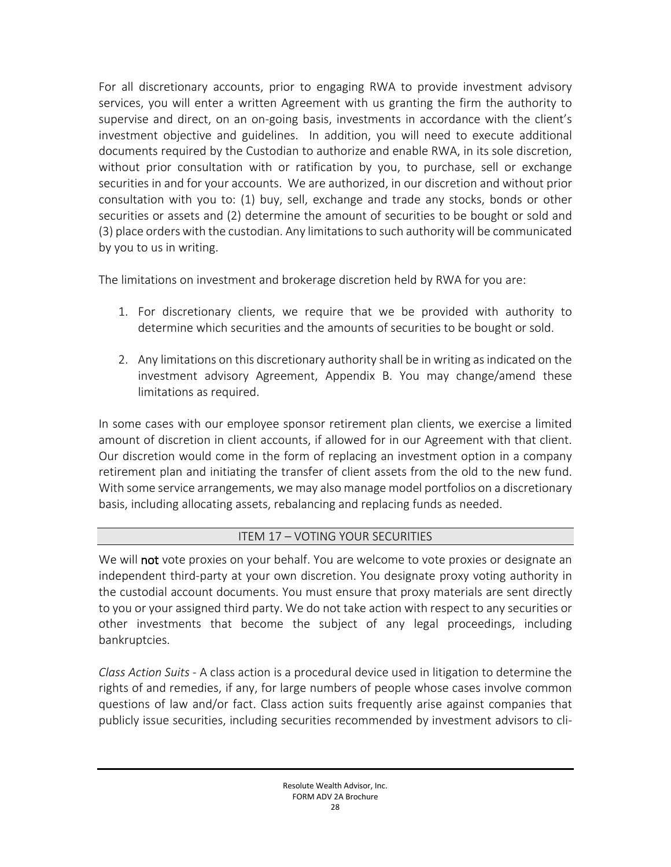For all discretionary accounts, prior to engaging RWA to provide investment advisory services, you will enter a written Agreement with us granting the firm the authority to supervise and direct, on an on-going basis, investments in accordance with the client's investment objective and guidelines. In addition, you will need to execute additional documents required by the Custodian to authorize and enable RWA, in its sole discretion, without prior consultation with or ratification by you, to purchase, sell or exchange securities in and for your accounts. We are authorized, in our discretion and without prior consultation with you to: (1) buy, sell, exchange and trade any stocks, bonds or other securities or assets and (2) determine the amount of securities to be bought or sold and (3) place orders with the custodian. Any limitationsto such authority will be communicated by you to us in writing.

The limitations on investment and brokerage discretion held by RWA for you are:

- 1. For discretionary clients, we require that we be provided with authority to determine which securities and the amounts of securities to be bought or sold.
- 2. Any limitations on this discretionary authority shall be in writing as indicated on the investment advisory Agreement, Appendix B. You may change/amend these limitations as required.

In some cases with our employee sponsor retirement plan clients, we exercise a limited amount of discretion in client accounts, if allowed for in our Agreement with that client. Our discretion would come in the form of replacing an investment option in a company retirement plan and initiating the transfer of client assets from the old to the new fund. With some service arrangements, we may also manage model portfolios on a discretionary basis, including allocating assets, rebalancing and replacing funds as needed.

# ITEM 17 – VOTING YOUR SECURITIES

<span id="page-27-0"></span>We will not vote proxies on your behalf. You are welcome to vote proxies or designate an independent third-party at your own discretion. You designate proxy voting authority in the custodial account documents. You must ensure that proxy materials are sent directly to you or your assigned third party. We do not take action with respect to any securities or other investments that become the subject of any legal proceedings, including bankruptcies.

*Class Action Suits* - A class action is a procedural device used in litigation to determine the rights of and remedies, if any, for large numbers of people whose cases involve common questions of law and/or fact. Class action suits frequently arise against companies that publicly issue securities, including securities recommended by investment advisors to cli